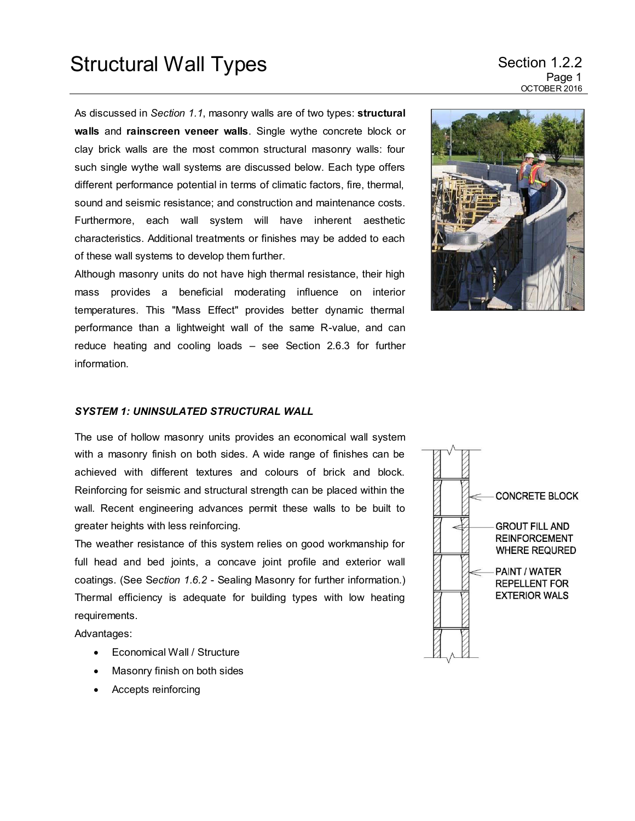# Structural Wall Types Section 1.2.2

As discussed in *Section 1.1*, masonry walls are of two types: **structural walls** and **rainscreen veneer walls**. Single wythe concrete block or clay brick walls are the most common structural masonry walls: four such single wythe wall systems are discussed below. Each type offers different performance potential in terms of climatic factors, fire, thermal, sound and seismic resistance; and construction and maintenance costs. Furthermore, each wall system will have inherent aesthetic characteristics. Additional treatments or finishes may be added to each of these wall systems to develop them further.

Although masonry units do not have high thermal resistance, their high mass provides a beneficial moderating influence on interior temperatures. This "Mass Effect" provides better dynamic thermal performance than a lightweight wall of the same R-value, and can reduce heating and cooling loads – see Section 2.6.3 for further information.



## *SYSTEM 1: UNINSULATED STRUCTURAL WALL*

The use of hollow masonry units provides an economical wall system with a masonry finish on both sides. A wide range of finishes can be achieved with different textures and colours of brick and block. Reinforcing for seismic and structural strength can be placed within the wall. Recent engineering advances permit these walls to be built to greater heights with less reinforcing.

The weather resistance of this system relies on good workmanship for full head and bed joints, a concave joint profile and exterior wall coatings. (See S*ection 1.6.2* - Sealing Masonry for further information.) Thermal efficiency is adequate for building types with low heating requirements.

Advantages:

- Economical Wall / Structure
- Masonry finish on both sides
- Accepts reinforcing

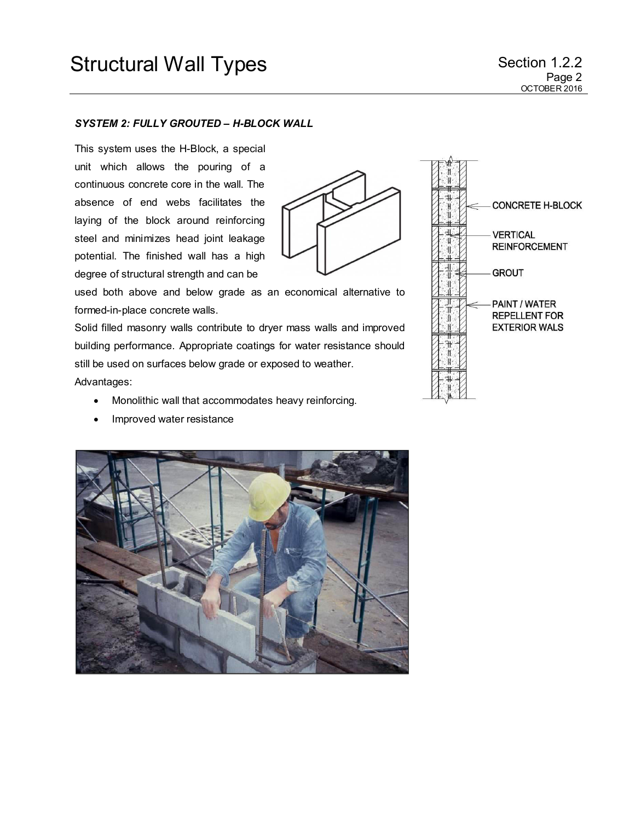### *SYSTEM 2: FULLY GROUTED – H-BLOCK WALL*

This system uses the H-Block, a special unit which allows the pouring of a continuous concrete core in the wall. The absence of end webs facilitates the laying of the block around reinforcing steel and minimizes head joint leakage potential. The finished wall has a high degree of structural strength and can be



used both above and below grade as an economical alternative to formed-in-place concrete walls.

Solid filled masonry walls contribute to dryer mass walls and improved building performance. Appropriate coatings for water resistance should still be used on surfaces below grade or exposed to weather. Advantages:

- Monolithic wall that accommodates heavy reinforcing.
- Improved water resistance